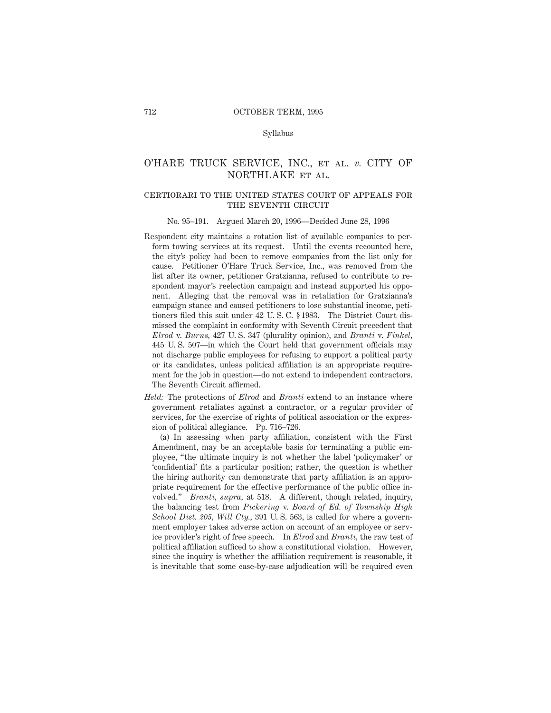#### Syllabus

# O'HARE TRUCK SERVICE, INC., et al. *v.* CITY OF NORTHLAKE et al.

### certiorari to the united states court of appeals forTHE SEVENTH CIRCUIT

#### No. 95–191. Argued March 20, 1996—Decided June 28, 1996

- Respondent city maintains a rotation list of available companies to perform towing services at its request. Until the events recounted here, the city's policy had been to remove companies from the list only for cause. Petitioner O'Hare Truck Service, Inc., was removed from the list after its owner, petitioner Gratzianna, refused to contribute to respondent mayor's reelection campaign and instead supported his opponent. Alleging that the removal was in retaliation for Gratzianna's campaign stance and caused petitioners to lose substantial income, petitioners filed this suit under 42 U. S. C. § 1983. The District Court dismissed the complaint in conformity with Seventh Circuit precedent that *Elrod* v. *Burns,* 427 U. S. 347 (plurality opinion), and *Branti* v. *Finkel,* 445 U. S. 507—in which the Court held that government officials may not discharge public employees for refusing to support a political party or its candidates, unless political affiliation is an appropriate requirement for the job in question—do not extend to independent contractors. The Seventh Circuit affirmed.
- *Held:* The protections of *Elrod* and *Branti* extend to an instance where government retaliates against a contractor, or a regular provider of services, for the exercise of rights of political association or the expression of political allegiance. Pp. 716–726.

(a) In assessing when party affiliation, consistent with the First Amendment, may be an acceptable basis for terminating a public employee, "the ultimate inquiry is not whether the label 'policymaker' or 'confidential' fits a particular position; rather, the question is whether the hiring authority can demonstrate that party affiliation is an appropriate requirement for the effective performance of the public office involved." *Branti, supra,* at 518. A different, though related, inquiry, the balancing test from *Pickering* v. *Board of Ed. of Township High School Dist. 205, Will Cty.,* 391 U. S. 563, is called for where a government employer takes adverse action on account of an employee or service provider's right of free speech. In *Elrod* and *Branti,* the raw test of political affiliation sufficed to show a constitutional violation. However, since the inquiry is whether the affiliation requirement is reasonable, it is inevitable that some case-by-case adjudication will be required even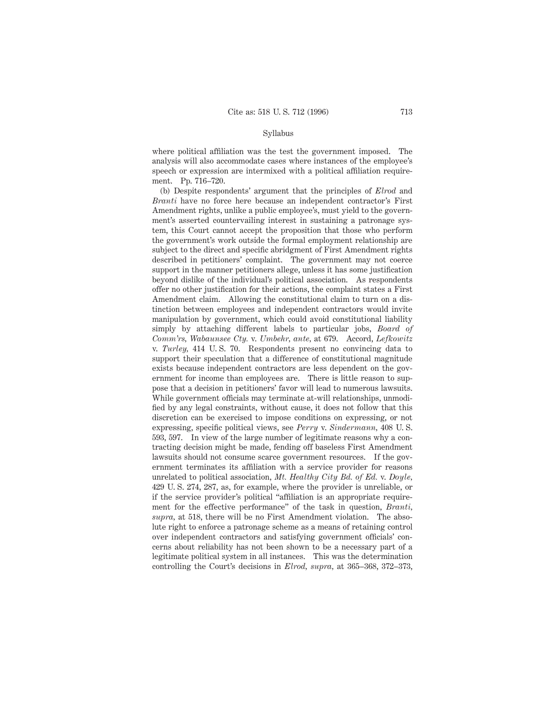#### Syllabus

where political affiliation was the test the government imposed. The analysis will also accommodate cases where instances of the employee's speech or expression are intermixed with a political affiliation requirement. Pp. 716–720.

(b) Despite respondents' argument that the principles of *Elrod* and *Branti* have no force here because an independent contractor's First Amendment rights, unlike a public employee's, must yield to the government's asserted countervailing interest in sustaining a patronage system, this Court cannot accept the proposition that those who perform the government's work outside the formal employment relationship are subject to the direct and specific abridgment of First Amendment rights described in petitioners' complaint. The government may not coerce support in the manner petitioners allege, unless it has some justification beyond dislike of the individual's political association. As respondents offer no other justification for their actions, the complaint states a First Amendment claim. Allowing the constitutional claim to turn on a distinction between employees and independent contractors would invite manipulation by government, which could avoid constitutional liability simply by attaching different labels to particular jobs, *Board of Comm'rs, Wabaunsee Cty.* v. *Umbehr, ante,* at 679. Accord, *Lefkowitz* v. *Turley,* 414 U. S. 70. Respondents present no convincing data to support their speculation that a difference of constitutional magnitude exists because independent contractors are less dependent on the government for income than employees are. There is little reason to suppose that a decision in petitioners' favor will lead to numerous lawsuits. While government officials may terminate at-will relationships, unmodified by any legal constraints, without cause, it does not follow that this discretion can be exercised to impose conditions on expressing, or not expressing, specific political views, see *Perry* v. *Sindermann,* 408 U. S. 593, 597. In view of the large number of legitimate reasons why a contracting decision might be made, fending off baseless First Amendment lawsuits should not consume scarce government resources. If the government terminates its affiliation with a service provider for reasons unrelated to political association, *Mt. Healthy City Bd. of Ed.* v. *Doyle,* 429 U. S. 274, 287, as, for example, where the provider is unreliable, or if the service provider's political "affiliation is an appropriate requirement for the effective performance" of the task in question, *Branti, supra,* at 518, there will be no First Amendment violation. The absolute right to enforce a patronage scheme as a means of retaining control over independent contractors and satisfying government officials' concerns about reliability has not been shown to be a necessary part of a legitimate political system in all instances. This was the determination controlling the Court's decisions in *Elrod, supra,* at 365–368, 372–373,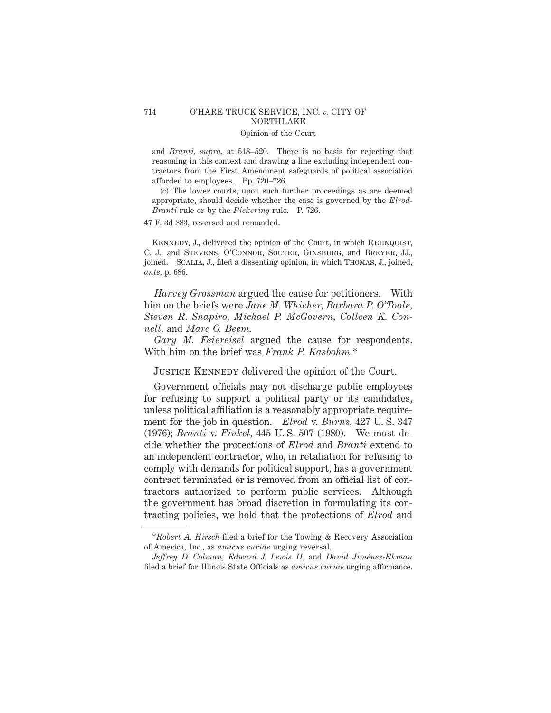## 714 O'HARE TRUCK SERVICE, INC. *v.* CITY OF NORTHLAKE

### Opinion of the Court

and *Branti, supra,* at 518–520. There is no basis for rejecting that reasoning in this context and drawing a line excluding independent contractors from the First Amendment safeguards of political association afforded to employees. Pp. 720–726.

(c) The lower courts, upon such further proceedings as are deemed appropriate, should decide whether the case is governed by the *Elrod-Branti* rule or by the *Pickering* rule. P. 726.

47 F. 3d 883, reversed and remanded.

KENNEDY, J., delivered the opinion of the Court, in which REHNQUIST, C. J., and Stevens, O'Connor, Souter, Ginsburg, and Breyer, JJ., joined. Scalia, J., filed a dissenting opinion, in which Thomas, J., joined, *ante,* p. 686.

*Harvey Grossman* argued the cause for petitioners. With him on the briefs were *Jane M. Whicher, Barbara P. O'Toole, Steven R. Shapiro, Michael P. McGovern, Colleen K. Connell,* and *Marc O. Beem.*

*Gary M. Feiereisel* argued the cause for respondents. With him on the brief was *Frank P. Kasbohm.*\*

# JUSTICE KENNEDY delivered the opinion of the Court.

Government officials may not discharge public employees for refusing to support a political party or its candidates, unless political affiliation is a reasonably appropriate requirement for the job in question. *Elrod* v. *Burns,* 427 U. S. 347 (1976); *Branti* v. *Finkel,* 445 U. S. 507 (1980). We must decide whether the protections of *Elrod* and *Branti* extend to an independent contractor, who, in retaliation for refusing to comply with demands for political support, has a government contract terminated or is removed from an official list of contractors authorized to perform public services. Although the government has broad discretion in formulating its contracting policies, we hold that the protections of *Elrod* and

<sup>\*</sup>*Robert A. Hirsch* filed a brief for the Towing & Recovery Association of America, Inc., as *amicus curiae* urging reversal.

*Jeffrey D. Colman, Edward J. Lewis II,* and *David Jime´nez-Ekman* filed a brief for Illinois State Officials as *amicus curiae* urging affirmance.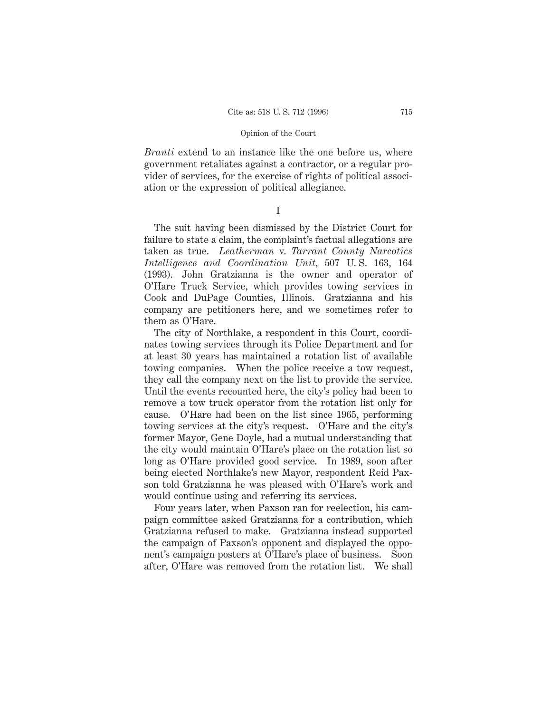*Branti* extend to an instance like the one before us, where government retaliates against a contractor, or a regular provider of services, for the exercise of rights of political association or the expression of political allegiance.

I

The suit having been dismissed by the District Court for failure to state a claim, the complaint's factual allegations are taken as true. *Leatherman* v. *Tarrant County Narcotics Intelligence and Coordination Unit,* 507 U. S. 163, 164 (1993). John Gratzianna is the owner and operator of O'Hare Truck Service, which provides towing services in Cook and DuPage Counties, Illinois. Gratzianna and his company are petitioners here, and we sometimes refer to them as O'Hare.

The city of Northlake, a respondent in this Court, coordinates towing services through its Police Department and for at least 30 years has maintained a rotation list of available towing companies. When the police receive a tow request, they call the company next on the list to provide the service. Until the events recounted here, the city's policy had been to remove a tow truck operator from the rotation list only for cause. O'Hare had been on the list since 1965, performing towing services at the city's request. O'Hare and the city's former Mayor, Gene Doyle, had a mutual understanding that the city would maintain O'Hare's place on the rotation list so long as O'Hare provided good service. In 1989, soon after being elected Northlake's new Mayor, respondent Reid Paxson told Gratzianna he was pleased with O'Hare's work and would continue using and referring its services.

Four years later, when Paxson ran for reelection, his campaign committee asked Gratzianna for a contribution, which Gratzianna refused to make. Gratzianna instead supported the campaign of Paxson's opponent and displayed the opponent's campaign posters at O'Hare's place of business. Soon after, O'Hare was removed from the rotation list. We shall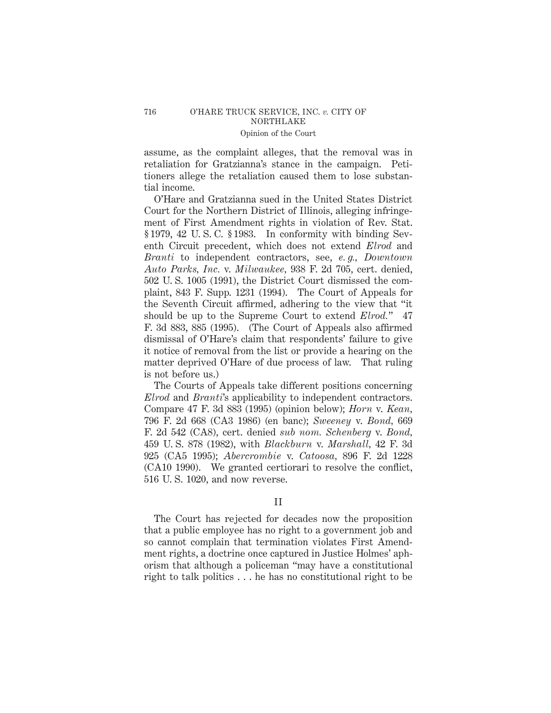assume, as the complaint alleges, that the removal was in retaliation for Gratzianna's stance in the campaign. Petitioners allege the retaliation caused them to lose substantial income.

O'Hare and Gratzianna sued in the United States District Court for the Northern District of Illinois, alleging infringement of First Amendment rights in violation of Rev. Stat. § 1979, 42 U. S. C. § 1983. In conformity with binding Seventh Circuit precedent, which does not extend *Elrod* and *Branti* to independent contractors, see, *e. g., Downtown Auto Parks, Inc.* v. *Milwaukee,* 938 F. 2d 705, cert. denied, 502 U. S. 1005 (1991), the District Court dismissed the complaint, 843 F. Supp. 1231 (1994). The Court of Appeals for the Seventh Circuit affirmed, adhering to the view that "it should be up to the Supreme Court to extend *Elrod.*" 47 F. 3d 883, 885 (1995). (The Court of Appeals also affirmed dismissal of O'Hare's claim that respondents' failure to give it notice of removal from the list or provide a hearing on the matter deprived O'Hare of due process of law. That ruling is not before us.)

The Courts of Appeals take different positions concerning *Elrod* and *Branti*'s applicability to independent contractors. Compare 47 F. 3d 883 (1995) (opinion below); *Horn* v. *Kean,* 796 F. 2d 668 (CA3 1986) (en banc); *Sweeney* v. *Bond,* 669 F. 2d 542 (CA8), cert. denied *sub nom. Schenberg* v. *Bond,* 459 U. S. 878 (1982), with *Blackburn* v. *Marshall,* 42 F. 3d 925 (CA5 1995); *Abercrombie* v. *Catoosa,* 896 F. 2d 1228 (CA10 1990). We granted certiorari to resolve the conflict, 516 U. S. 1020, and now reverse.

## II

The Court has rejected for decades now the proposition that a public employee has no right to a government job and so cannot complain that termination violates First Amendment rights, a doctrine once captured in Justice Holmes' aphorism that although a policeman "may have a constitutional right to talk politics . . . he has no constitutional right to be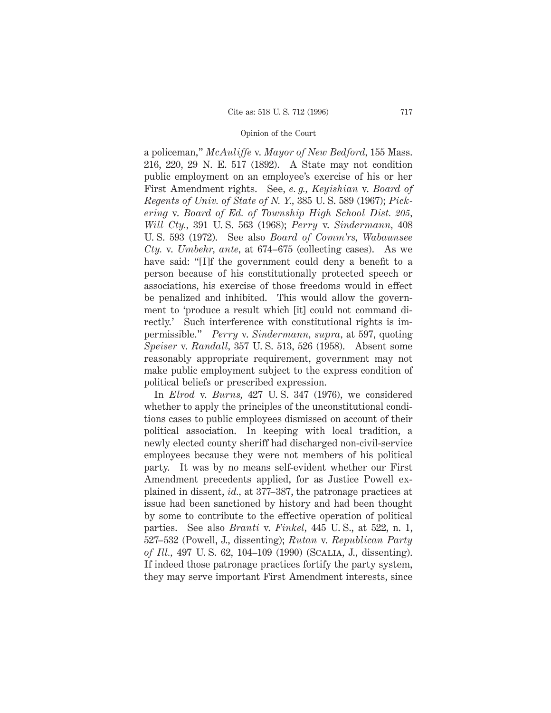a policeman," *McAuliffe* v. *Mayor of New Bedford,* 155 Mass. 216, 220, 29 N. E. 517 (1892). A State may not condition public employment on an employee's exercise of his or her First Amendment rights. See, *e. g., Keyishian* v. *Board of Regents of Univ. of State of N. Y.,* 385 U. S. 589 (1967); *Pickering* v. *Board of Ed. of Township High School Dist. 205, Will Cty.,* 391 U. S. 563 (1968); *Perry* v. *Sindermann,* 408 U. S. 593 (1972). See also *Board of Comm'rs, Wabaunsee Cty.* v. *Umbehr, ante,* at 674–675 (collecting cases). As we have said: "[I]f the government could deny a benefit to a person because of his constitutionally protected speech or associations, his exercise of those freedoms would in effect be penalized and inhibited. This would allow the government to 'produce a result which [it] could not command directly.' Such interference with constitutional rights is impermissible." *Perry* v. *Sindermann, supra,* at 597, quoting *Speiser* v. *Randall,* 357 U. S. 513, 526 (1958). Absent some reasonably appropriate requirement, government may not make public employment subject to the express condition of political beliefs or prescribed expression.

In *Elrod* v. *Burns,* 427 U. S. 347 (1976), we considered whether to apply the principles of the unconstitutional conditions cases to public employees dismissed on account of their political association. In keeping with local tradition, a newly elected county sheriff had discharged non-civil-service employees because they were not members of his political party. It was by no means self-evident whether our First Amendment precedents applied, for as Justice Powell explained in dissent, *id.,* at 377–387, the patronage practices at issue had been sanctioned by history and had been thought by some to contribute to the effective operation of political parties. See also *Branti* v. *Finkel,* 445 U. S., at 522, n. 1, 527–532 (Powell, J., dissenting); *Rutan* v. *Republican Party of Ill.,* 497 U. S. 62, 104–109 (1990) (Scalia, J., dissenting). If indeed those patronage practices fortify the party system, they may serve important First Amendment interests, since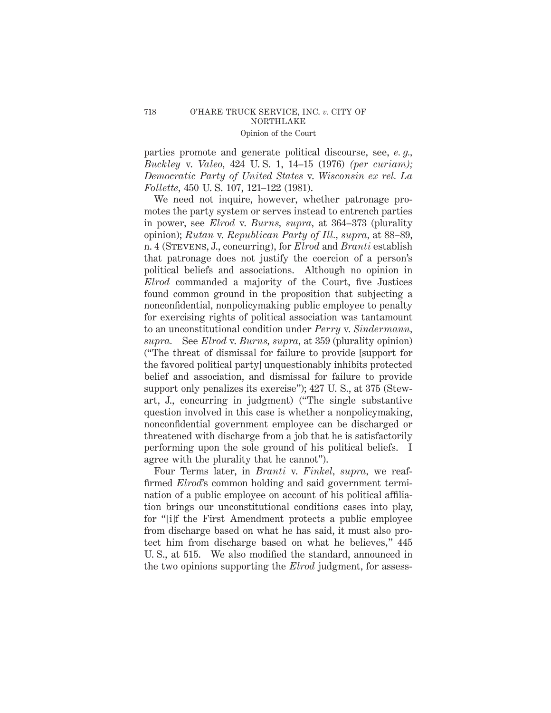parties promote and generate political discourse, see, *e. g., Buckley* v. *Valeo,* 424 U. S. 1, 14–15 (1976) *(per curiam); Democratic Party of United States* v. *Wisconsin ex rel. La Follette,* 450 U. S. 107, 121–122 (1981).

We need not inquire, however, whether patronage promotes the party system or serves instead to entrench parties in power, see *Elrod* v. *Burns, supra,* at 364–373 (plurality opinion); *Rutan* v. *Republican Party of Ill., supra,* at 88–89, n. 4 (Stevens, J., concurring), for *Elrod* and *Branti* establish that patronage does not justify the coercion of a person's political beliefs and associations. Although no opinion in *Elrod* commanded a majority of the Court, five Justices found common ground in the proposition that subjecting a nonconfidential, nonpolicymaking public employee to penalty for exercising rights of political association was tantamount to an unconstitutional condition under *Perry* v. *Sindermann, supra.* See *Elrod* v. *Burns, supra,* at 359 (plurality opinion) ("The threat of dismissal for failure to provide [support for the favored political party] unquestionably inhibits protected belief and association, and dismissal for failure to provide support only penalizes its exercise"); 427 U. S., at 375 (Stewart, J., concurring in judgment) ("The single substantive question involved in this case is whether a nonpolicymaking, nonconfidential government employee can be discharged or threatened with discharge from a job that he is satisfactorily performing upon the sole ground of his political beliefs. I agree with the plurality that he cannot").

Four Terms later, in *Branti* v. *Finkel, supra,* we reaffirmed *Elrod*'s common holding and said government termination of a public employee on account of his political affiliation brings our unconstitutional conditions cases into play, for "[i]f the First Amendment protects a public employee from discharge based on what he has said, it must also protect him from discharge based on what he believes," 445 U. S., at 515. We also modified the standard, announced in the two opinions supporting the *Elrod* judgment, for assess-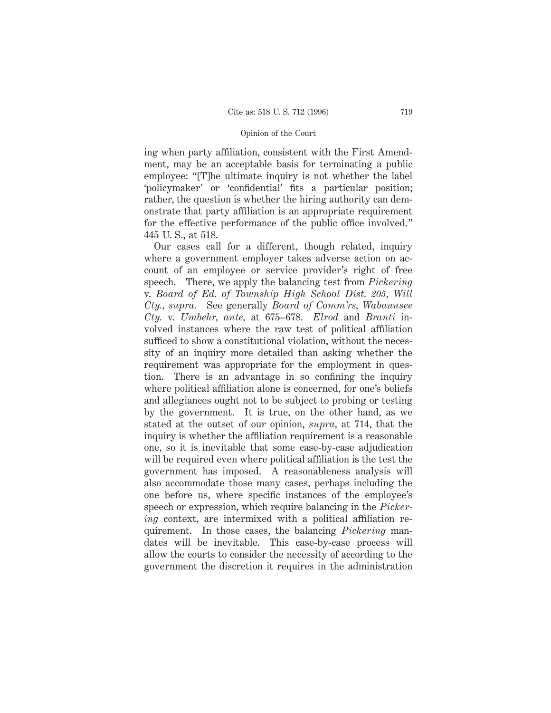ing when party affiliation, consistent with the First Amendment, may be an acceptable basis for terminating a public employee: "[T]he ultimate inquiry is not whether the label 'policymaker' or 'confidential' fits a particular position; rather, the question is whether the hiring authority can demonstrate that party affiliation is an appropriate requirement for the effective performance of the public office involved." 445 U. S., at 518.

Our cases call for a different, though related, inquiry where a government employer takes adverse action on account of an employee or service provider's right of free speech. There, we apply the balancing test from *Pickering* v. *Board of Ed. of Township High School Dist. 205, Will Cty., supra.* See generally *Board of Comm'rs, Wabaunsee Cty.* v. *Umbehr, ante,* at 675–678. *Elrod* and *Branti* involved instances where the raw test of political affiliation sufficed to show a constitutional violation, without the necessity of an inquiry more detailed than asking whether the requirement was appropriate for the employment in question. There is an advantage in so confining the inquiry where political affiliation alone is concerned, for one's beliefs and allegiances ought not to be subject to probing or testing by the government. It is true, on the other hand, as we stated at the outset of our opinion, *supra,* at 714, that the inquiry is whether the affiliation requirement is a reasonable one, so it is inevitable that some case-by-case adjudication will be required even where political affiliation is the test the government has imposed. A reasonableness analysis will also accommodate those many cases, perhaps including the one before us, where specific instances of the employee's speech or expression, which require balancing in the *Pickering* context, are intermixed with a political affiliation requirement. In those cases, the balancing *Pickering* mandates will be inevitable. This case-by-case process will allow the courts to consider the necessity of according to the government the discretion it requires in the administration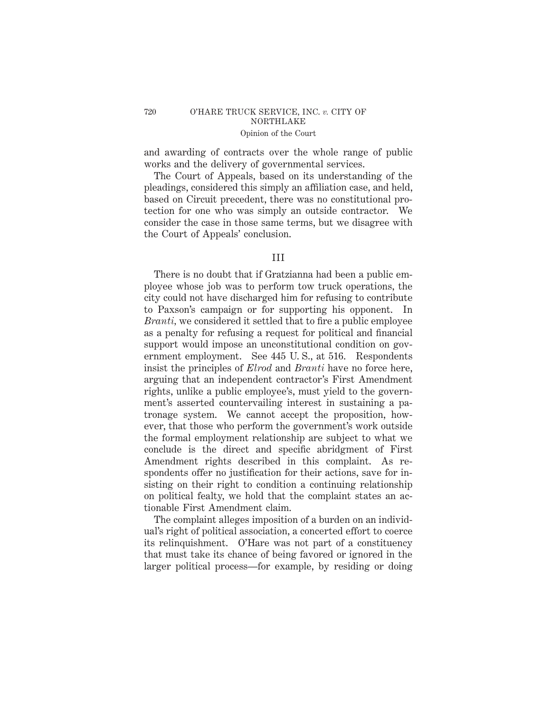## 720 O'HARE TRUCK SERVICE, INC. *v.* CITY OF NORTHLAKE Opinion of the Court

and awarding of contracts over the whole range of public works and the delivery of governmental services.

The Court of Appeals, based on its understanding of the pleadings, considered this simply an affiliation case, and held, based on Circuit precedent, there was no constitutional protection for one who was simply an outside contractor. We consider the case in those same terms, but we disagree with the Court of Appeals' conclusion.

# III

There is no doubt that if Gratzianna had been a public employee whose job was to perform tow truck operations, the city could not have discharged him for refusing to contribute to Paxson's campaign or for supporting his opponent. In *Branti,* we considered it settled that to fire a public employee as a penalty for refusing a request for political and financial support would impose an unconstitutional condition on government employment. See 445 U. S., at 516. Respondents insist the principles of *Elrod* and *Branti* have no force here, arguing that an independent contractor's First Amendment rights, unlike a public employee's, must yield to the government's asserted countervailing interest in sustaining a patronage system. We cannot accept the proposition, however, that those who perform the government's work outside the formal employment relationship are subject to what we conclude is the direct and specific abridgment of First Amendment rights described in this complaint. As respondents offer no justification for their actions, save for insisting on their right to condition a continuing relationship on political fealty, we hold that the complaint states an actionable First Amendment claim.

The complaint alleges imposition of a burden on an individual's right of political association, a concerted effort to coerce its relinquishment. O'Hare was not part of a constituency that must take its chance of being favored or ignored in the larger political process—for example, by residing or doing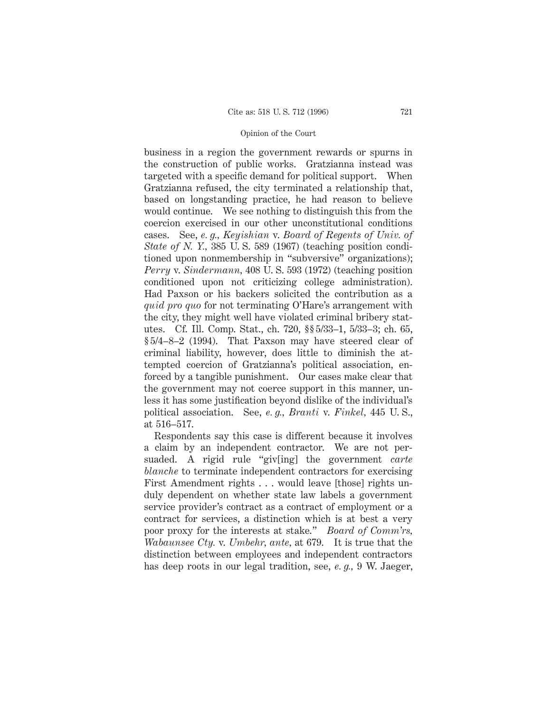business in a region the government rewards or spurns in the construction of public works. Gratzianna instead was targeted with a specific demand for political support. When Gratzianna refused, the city terminated a relationship that, based on longstanding practice, he had reason to believe would continue. We see nothing to distinguish this from the coercion exercised in our other unconstitutional conditions cases. See, *e. g., Keyishian* v. *Board of Regents of Univ. of State of N. Y.,* 385 U. S. 589 (1967) (teaching position conditioned upon nonmembership in "subversive" organizations); *Perry* v. *Sindermann,* 408 U. S. 593 (1972) (teaching position conditioned upon not criticizing college administration). Had Paxson or his backers solicited the contribution as a *quid pro quo* for not terminating O'Hare's arrangement with the city, they might well have violated criminal bribery statutes. Cf. Ill. Comp. Stat., ch. 720, §§ 5/33–1, 5/33–3; ch. 65, § 5/4–8–2 (1994). That Paxson may have steered clear of criminal liability, however, does little to diminish the attempted coercion of Gratzianna's political association, enforced by a tangible punishment. Our cases make clear that the government may not coerce support in this manner, unless it has some justification beyond dislike of the individual's political association. See, *e. g., Branti* v. *Finkel,* 445 U. S., at 516–517.

Respondents say this case is different because it involves a claim by an independent contractor. We are not persuaded. A rigid rule "giv[ing] the government *carte blanche* to terminate independent contractors for exercising First Amendment rights . . . would leave [those] rights unduly dependent on whether state law labels a government service provider's contract as a contract of employment or a contract for services, a distinction which is at best a very poor proxy for the interests at stake." *Board of Comm'rs, Wabaunsee Cty.* v. *Umbehr, ante,* at 679. It is true that the distinction between employees and independent contractors has deep roots in our legal tradition, see, *e. g.,* 9 W. Jaeger,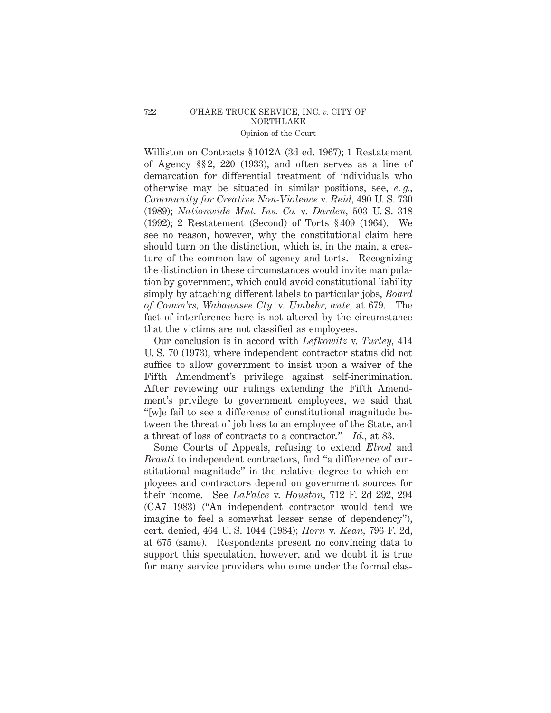Williston on Contracts § 1012A (3d ed. 1967); 1 Restatement of Agency §§ 2, 220 (1933), and often serves as a line of demarcation for differential treatment of individuals who otherwise may be situated in similar positions, see, *e. g., Community for Creative Non-Violence* v. *Reid,* 490 U. S. 730 (1989); *Nationwide Mut. Ins. Co.* v. *Darden,* 503 U. S. 318 (1992); 2 Restatement (Second) of Torts § 409 (1964). We see no reason, however, why the constitutional claim here should turn on the distinction, which is, in the main, a creature of the common law of agency and torts. Recognizing the distinction in these circumstances would invite manipulation by government, which could avoid constitutional liability simply by attaching different labels to particular jobs, *Board of Comm'rs, Wabaunsee Cty.* v. *Umbehr, ante,* at 679. The fact of interference here is not altered by the circumstance that the victims are not classified as employees.

Our conclusion is in accord with *Lefkowitz* v. *Turley,* 414 U. S. 70 (1973), where independent contractor status did not suffice to allow government to insist upon a waiver of the Fifth Amendment's privilege against self-incrimination. After reviewing our rulings extending the Fifth Amendment's privilege to government employees, we said that "[w]e fail to see a difference of constitutional magnitude between the threat of job loss to an employee of the State, and a threat of loss of contracts to a contractor." *Id.,* at 83.

Some Courts of Appeals, refusing to extend *Elrod* and *Branti* to independent contractors, find "a difference of constitutional magnitude" in the relative degree to which employees and contractors depend on government sources for their income. See *LaFalce* v. *Houston,* 712 F. 2d 292, 294 (CA7 1983) ("An independent contractor would tend we imagine to feel a somewhat lesser sense of dependency"), cert. denied, 464 U. S. 1044 (1984); *Horn* v. *Kean,* 796 F. 2d, at 675 (same). Respondents present no convincing data to support this speculation, however, and we doubt it is true for many service providers who come under the formal clas-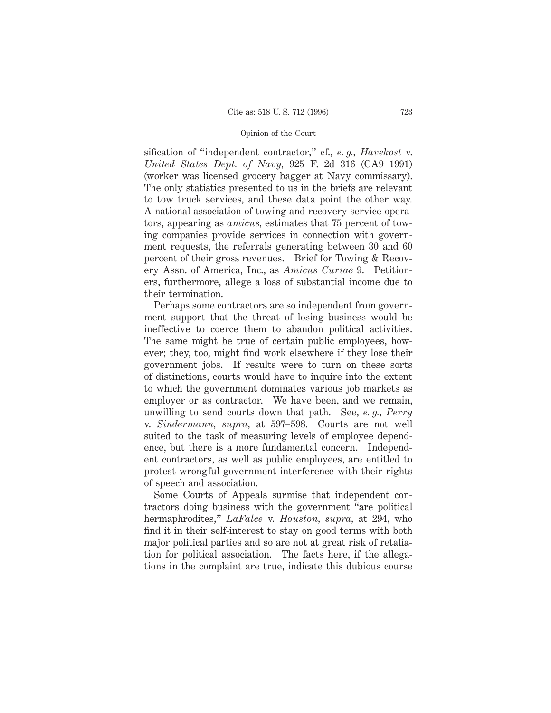sification of "independent contractor," cf., *e. g., Havekost* v. *United States Dept. of Navy,* 925 F. 2d 316 (CA9 1991) (worker was licensed grocery bagger at Navy commissary). The only statistics presented to us in the briefs are relevant to tow truck services, and these data point the other way. A national association of towing and recovery service operators, appearing as *amicus,* estimates that 75 percent of towing companies provide services in connection with government requests, the referrals generating between 30 and 60 percent of their gross revenues. Brief for Towing & Recovery Assn. of America, Inc., as *Amicus Curiae* 9. Petitioners, furthermore, allege a loss of substantial income due to their termination.

Perhaps some contractors are so independent from government support that the threat of losing business would be ineffective to coerce them to abandon political activities. The same might be true of certain public employees, however; they, too, might find work elsewhere if they lose their government jobs. If results were to turn on these sorts of distinctions, courts would have to inquire into the extent to which the government dominates various job markets as employer or as contractor. We have been, and we remain, unwilling to send courts down that path. See, *e. g., Perry* v. *Sindermann, supra,* at 597–598. Courts are not well suited to the task of measuring levels of employee dependence, but there is a more fundamental concern. Independent contractors, as well as public employees, are entitled to protest wrongful government interference with their rights of speech and association.

Some Courts of Appeals surmise that independent contractors doing business with the government "are political hermaphrodites," *LaFalce* v. *Houston, supra,* at 294, who find it in their self-interest to stay on good terms with both major political parties and so are not at great risk of retaliation for political association. The facts here, if the allegations in the complaint are true, indicate this dubious course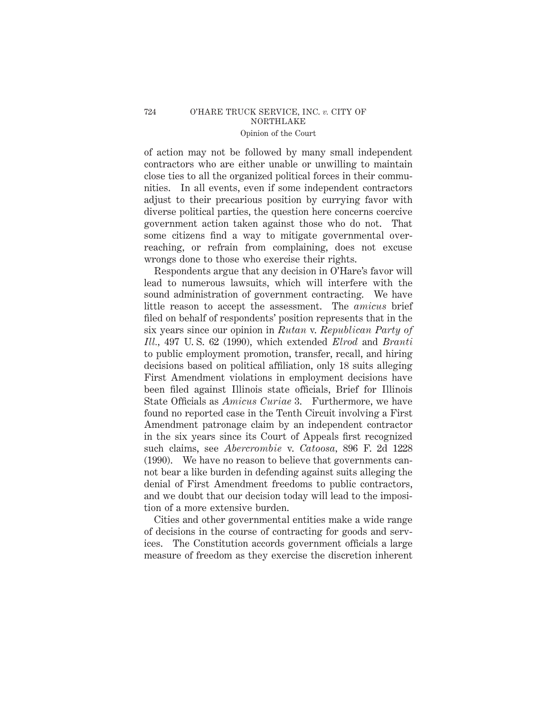of action may not be followed by many small independent contractors who are either unable or unwilling to maintain close ties to all the organized political forces in their communities. In all events, even if some independent contractors adjust to their precarious position by currying favor with diverse political parties, the question here concerns coercive government action taken against those who do not. That some citizens find a way to mitigate governmental overreaching, or refrain from complaining, does not excuse wrongs done to those who exercise their rights.

Respondents argue that any decision in O'Hare's favor will lead to numerous lawsuits, which will interfere with the sound administration of government contracting. We have little reason to accept the assessment. The *amicus* brief filed on behalf of respondents' position represents that in the six years since our opinion in *Rutan* v. *Republican Party of Ill.,* 497 U. S. 62 (1990), which extended *Elrod* and *Branti* to public employment promotion, transfer, recall, and hiring decisions based on political affiliation, only 18 suits alleging First Amendment violations in employment decisions have been filed against Illinois state officials, Brief for Illinois State Officials as *Amicus Curiae* 3. Furthermore, we have found no reported case in the Tenth Circuit involving a First Amendment patronage claim by an independent contractor in the six years since its Court of Appeals first recognized such claims, see *Abercrombie* v. *Catoosa,* 896 F. 2d 1228 (1990). We have no reason to believe that governments cannot bear a like burden in defending against suits alleging the denial of First Amendment freedoms to public contractors, and we doubt that our decision today will lead to the imposition of a more extensive burden.

Cities and other governmental entities make a wide range of decisions in the course of contracting for goods and services. The Constitution accords government officials a large measure of freedom as they exercise the discretion inherent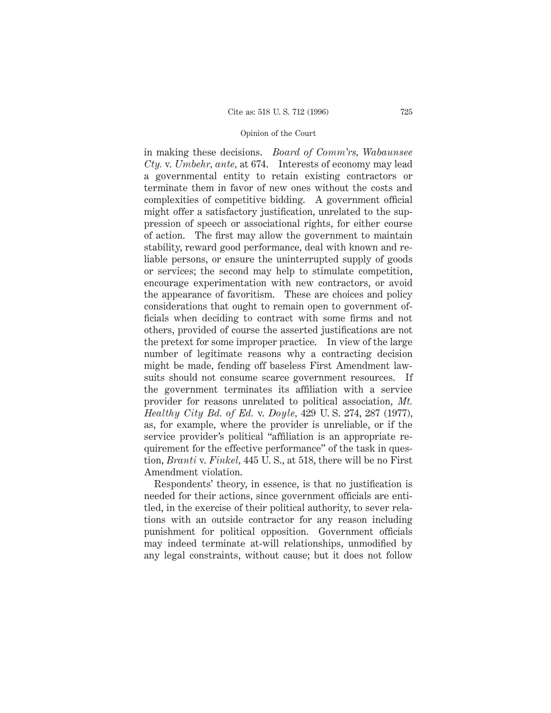in making these decisions. *Board of Comm'rs, Wabaunsee Cty.* v. *Umbehr, ante,* at 674. Interests of economy may lead a governmental entity to retain existing contractors or terminate them in favor of new ones without the costs and complexities of competitive bidding. A government official might offer a satisfactory justification, unrelated to the suppression of speech or associational rights, for either course of action. The first may allow the government to maintain stability, reward good performance, deal with known and reliable persons, or ensure the uninterrupted supply of goods or services; the second may help to stimulate competition, encourage experimentation with new contractors, or avoid the appearance of favoritism. These are choices and policy considerations that ought to remain open to government officials when deciding to contract with some firms and not others, provided of course the asserted justifications are not the pretext for some improper practice. In view of the large number of legitimate reasons why a contracting decision might be made, fending off baseless First Amendment lawsuits should not consume scarce government resources. If the government terminates its affiliation with a service provider for reasons unrelated to political association, *Mt. Healthy City Bd. of Ed.* v. *Doyle,* 429 U. S. 274, 287 (1977), as, for example, where the provider is unreliable, or if the service provider's political "affiliation is an appropriate requirement for the effective performance" of the task in question, *Branti* v. *Finkel,* 445 U. S., at 518, there will be no First Amendment violation.

Respondents' theory, in essence, is that no justification is needed for their actions, since government officials are entitled, in the exercise of their political authority, to sever relations with an outside contractor for any reason including punishment for political opposition. Government officials may indeed terminate at-will relationships, unmodified by any legal constraints, without cause; but it does not follow